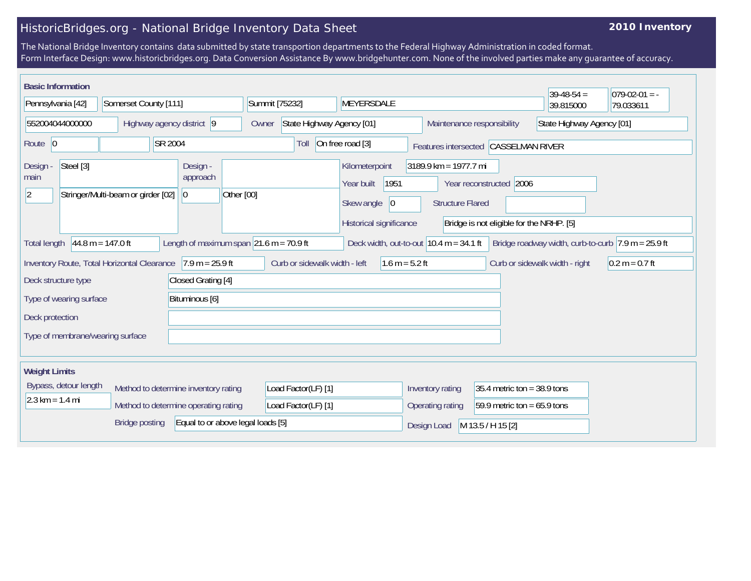## HistoricBridges.org - National Bridge Inventory Data Sheet

## **2010 Inventory**

The National Bridge Inventory contains data submitted by state transportion departments to the Federal Highway Administration in coded format. Form Interface Design: www.historicbridges.org. Data Conversion Assistance By www.bridgehunter.com. None of the involved parties make any guarantee of accuracy.

|                                                                                                                                                                                                                                  | <b>Basic Information</b><br>$39-48-54 =$<br>$079-02-01 = -$ |                           |                                     |                                                                  |                                                   |                                            |                                                                                                                                                                           |                                |                               |                                                         |           |           |
|----------------------------------------------------------------------------------------------------------------------------------------------------------------------------------------------------------------------------------|-------------------------------------------------------------|---------------------------|-------------------------------------|------------------------------------------------------------------|---------------------------------------------------|--------------------------------------------|---------------------------------------------------------------------------------------------------------------------------------------------------------------------------|--------------------------------|-------------------------------|---------------------------------------------------------|-----------|-----------|
| Pennsylvania [42]                                                                                                                                                                                                                |                                                             | Somerset County [111]     |                                     |                                                                  |                                                   | Summit [75232]<br>MEYERSDALE               |                                                                                                                                                                           |                                |                               |                                                         | 39.815000 | 79.033611 |
| 552004044000000                                                                                                                                                                                                                  |                                                             | Highway agency district 9 |                                     |                                                                  |                                                   | State Highway Agency [01]<br>Owner         |                                                                                                                                                                           |                                |                               | State Highway Agency [01]<br>Maintenance responsibility |           |           |
| Route 0<br>SR 2004                                                                                                                                                                                                               |                                                             |                           |                                     | On free road [3]<br>Toll<br>Features intersected CASSELMAN RIVER |                                                   |                                            |                                                                                                                                                                           |                                |                               |                                                         |           |           |
| Steel [3]<br>Design -<br>main<br>$\vert$ 2<br>Stringer/Multi-beam or girder [02]                                                                                                                                                 |                                                             |                           | Design -<br>approach<br>$ 0\rangle$ | Other [00]                                                       |                                                   | Kilometerpoint<br>Year built<br>Skew angle | 3189.9 km = 1977.7 mi<br>1951<br>Year reconstructed 2006<br>$ 0\rangle$<br><b>Structure Flared</b><br>Historical significance<br>Bridge is not eligible for the NRHP. [5] |                                |                               |                                                         |           |           |
| Length of maximum span $ 21.6 \text{ m} = 70.9 \text{ ft} $<br>$44.8 m = 147.0 ft$<br>Deck width, out-to-out $10.4$ m = 34.1 ft<br>Bridge roadway width, curb-to-curb $ 7.9 \text{ m} = 25.9 \text{ ft} $<br><b>Total length</b> |                                                             |                           |                                     |                                                                  |                                                   |                                            |                                                                                                                                                                           |                                |                               |                                                         |           |           |
| $7.9 m = 25.9 ft$<br>Inventory Route, Total Horizontal Clearance                                                                                                                                                                 |                                                             |                           |                                     |                                                                  | Curb or sidewalk width - left<br>$1.6 m = 5.2 ft$ |                                            |                                                                                                                                                                           | Curb or sidewalk width - right | $0.2 m = 0.7 ft$              |                                                         |           |           |
| Closed Grating [4]<br>Deck structure type                                                                                                                                                                                        |                                                             |                           |                                     |                                                                  |                                                   |                                            |                                                                                                                                                                           |                                |                               |                                                         |           |           |
| Bituminous [6]<br>Type of wearing surface                                                                                                                                                                                        |                                                             |                           |                                     |                                                                  |                                                   |                                            |                                                                                                                                                                           |                                |                               |                                                         |           |           |
| Deck protection                                                                                                                                                                                                                  |                                                             |                           |                                     |                                                                  |                                                   |                                            |                                                                                                                                                                           |                                |                               |                                                         |           |           |
| Type of membrane/wearing surface                                                                                                                                                                                                 |                                                             |                           |                                     |                                                                  |                                                   |                                            |                                                                                                                                                                           |                                |                               |                                                         |           |           |
|                                                                                                                                                                                                                                  |                                                             |                           |                                     |                                                                  |                                                   |                                            |                                                                                                                                                                           |                                |                               |                                                         |           |           |
| <b>Weight Limits</b>                                                                                                                                                                                                             |                                                             |                           |                                     |                                                                  |                                                   |                                            |                                                                                                                                                                           |                                |                               |                                                         |           |           |
| Bypass, detour length<br>Method to determine inventory rating                                                                                                                                                                    |                                                             |                           |                                     | Load Factor(LF) [1]                                              |                                                   |                                            |                                                                                                                                                                           | Inventory rating               | 35.4 metric ton = $38.9$ tons |                                                         |           |           |
| $2.3 \text{ km} = 1.4 \text{ mi}$<br>Method to determine operating rating                                                                                                                                                        |                                                             |                           |                                     | Load Factor(LF) [1]                                              |                                                   |                                            | Operating rating                                                                                                                                                          | 59.9 metric ton = $65.9$ tons  |                               |                                                         |           |           |
| <b>Bridge posting</b><br>Equal to or above legal loads [5]                                                                                                                                                                       |                                                             |                           |                                     |                                                                  |                                                   |                                            | M 13.5 / H 15 [2]<br>Design Load                                                                                                                                          |                                |                               |                                                         |           |           |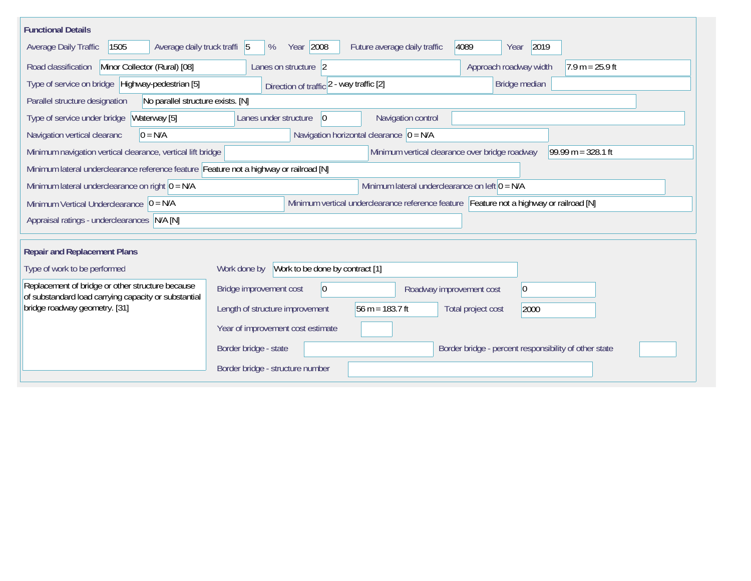| <b>Functional Details</b>                                                                                     |                                                  |                                                                                         |                                                       |                      |  |  |  |  |
|---------------------------------------------------------------------------------------------------------------|--------------------------------------------------|-----------------------------------------------------------------------------------------|-------------------------------------------------------|----------------------|--|--|--|--|
| 1505<br>Average daily truck traffi 5<br>Average Daily Traffic                                                 | Year 2008<br>%                                   | Future average daily traffic                                                            | 2019<br>4089<br>Year                                  |                      |  |  |  |  |
| Minor Collector (Rural) [08]<br>Road classification                                                           | Lanes on structure 2                             |                                                                                         | Approach roadway width<br>$7.9 m = 25.9 ft$           |                      |  |  |  |  |
| Type of service on bridge Highway-pedestrian [5]                                                              | Direction of traffic 2 - way traffic [2]         |                                                                                         | Bridge median                                         |                      |  |  |  |  |
| Parallel structure designation<br>No parallel structure exists. [N]                                           |                                                  |                                                                                         |                                                       |                      |  |  |  |  |
| Waterway [5]<br>Navigation control<br>Type of service under bridge<br>Lanes under structure<br>$\overline{0}$ |                                                  |                                                                                         |                                                       |                      |  |  |  |  |
| Navigation vertical clearanc<br>$0 = N/A$                                                                     | Navigation horizontal clearance $ 0 = N/A$       |                                                                                         |                                                       |                      |  |  |  |  |
| Minimum navigation vertical clearance, vertical lift bridge                                                   |                                                  | Minimum vertical clearance over bridge roadway                                          |                                                       | 99.99 m = $328.1$ ft |  |  |  |  |
| Minimum lateral underclearance reference feature Feature not a highway or railroad [N]                        |                                                  |                                                                                         |                                                       |                      |  |  |  |  |
| Minimum lateral underclearance on right $0 = N/A$                                                             | Minimum lateral underclearance on left $0 = N/A$ |                                                                                         |                                                       |                      |  |  |  |  |
| Minimum Vertical Underclearance $ 0 = N/A$                                                                    |                                                  | Minimum vertical underclearance reference feature Feature not a highway or railroad [N] |                                                       |                      |  |  |  |  |
| Appraisal ratings - underclearances N/A [N]                                                                   |                                                  |                                                                                         |                                                       |                      |  |  |  |  |
|                                                                                                               |                                                  |                                                                                         |                                                       |                      |  |  |  |  |
|                                                                                                               | <b>Repair and Replacement Plans</b>              |                                                                                         |                                                       |                      |  |  |  |  |
| Type of work to be performed                                                                                  | Work to be done by contract [1]<br>Work done by  |                                                                                         |                                                       |                      |  |  |  |  |
| Replacement of bridge or other structure because<br>of substandard load carrying capacity or substantial      | Bridge improvement cost<br>$ 0\rangle$           | Roadway improvement cost                                                                | $ 0\rangle$                                           |                      |  |  |  |  |
| bridge roadway geometry. [31]                                                                                 | Length of structure improvement                  | 56 m = $183.7$ ft                                                                       | Total project cost<br>2000                            |                      |  |  |  |  |
|                                                                                                               | Year of improvement cost estimate                |                                                                                         |                                                       |                      |  |  |  |  |
|                                                                                                               | Border bridge - state                            |                                                                                         | Border bridge - percent responsibility of other state |                      |  |  |  |  |
|                                                                                                               | Border bridge - structure number                 |                                                                                         |                                                       |                      |  |  |  |  |